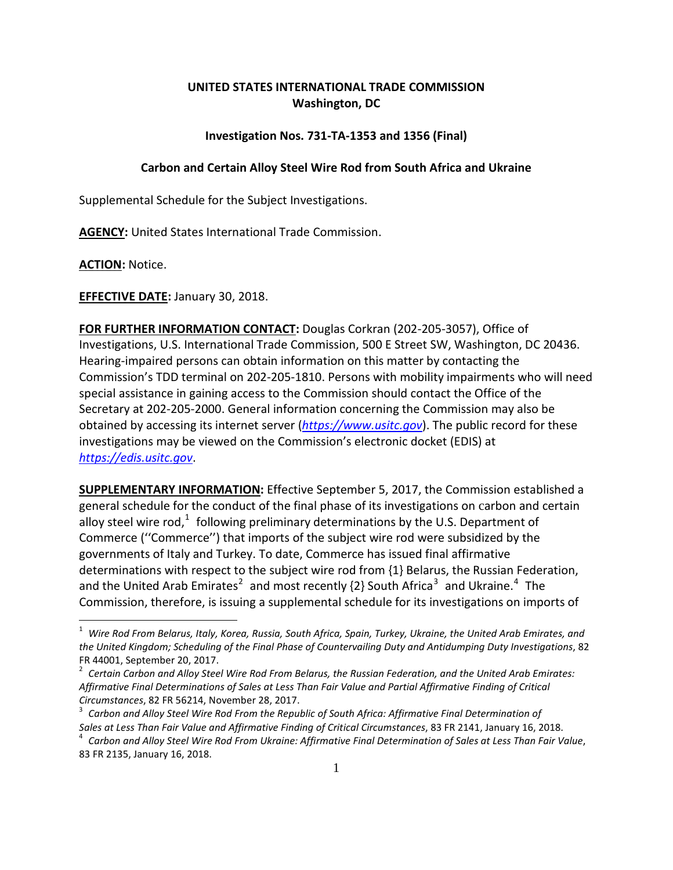## **UNITED STATES INTERNATIONAL TRADE COMMISSION Washington, DC**

## **Investigation Nos. 731-TA-1353 and 1356 (Final)**

## **Carbon and Certain Alloy Steel Wire Rod from South Africa and Ukraine**

Supplemental Schedule for the Subject Investigations.

**AGENCY:** United States International Trade Commission.

**ACTION:** Notice.

## **EFFECTIVE DATE:** January 30, 2018.

**FOR FURTHER INFORMATION CONTACT:** Douglas Corkran (202-205-3057), Office of Investigations, U.S. International Trade Commission, 500 E Street SW, Washington, DC 20436. Hearing-impaired persons can obtain information on this matter by contacting the Commission's TDD terminal on 202-205-1810. Persons with mobility impairments who will need special assistance in gaining access to the Commission should contact the Office of the Secretary at 202-205-2000. General information concerning the Commission may also be obtained by accessing its internet server (*[https://www.usitc.gov](https://www.usitc.gov/)*). The public record for these investigations may be viewed on the Commission's electronic docket (EDIS) at *[https://edis.usitc.gov](https://edis.usitc.gov/)*.

**SUPPLEMENTARY INFORMATION:** Effective September 5, 2017, the Commission established a general schedule for the conduct of the final phase of its investigations on carbon and certain alloy steel wire rod,<sup>[1](#page-0-0)</sup> following preliminary determinations by the U.S. Department of Commerce (''Commerce'') that imports of the subject wire rod were subsidized by the governments of Italy and Turkey. To date, Commerce has issued final affirmative determinations with respect to the subject wire rod from {1} Belarus, the Russian Federation, and the United Arab Emirates<sup>[2](#page-0-1)</sup> and most recently  $\{2\}$  South Africa<sup>[3](#page-0-2)</sup> and Ukraine.<sup>[4](#page-0-3)</sup> The Commission, therefore, is issuing a supplemental schedule for its investigations on imports of

<span id="page-0-0"></span><sup>1</sup> *Wire Rod From Belarus, Italy, Korea, Russia, South Africa, Spain, Turkey, Ukraine, the United Arab Emirates, and the United Kingdom; Scheduling of the Final Phase of Countervailing Duty and Antidumping Duty Investigations*, 82

<span id="page-0-1"></span>FR 44001, September 20, 2017.<br><sup>2</sup> Certain Carbon and Alloy Steel Wire Rod From Belarus, the Russian Federation, and the United Arab Emirates: *Affirmative Final Determinations of Sales at Less Than Fair Value and Partial Affirmative Finding of Critical Circumstances*, 82 FR 56214, November 28, 2017. <sup>3</sup> *Carbon and Alloy Steel Wire Rod From the Republic of South Africa: Affirmative Final Determination of*

<span id="page-0-2"></span>Sales at Less Than Fair Value and Affirmative Finding of Critical Circumstances, 83 FR 2141, January 16, 2018.<br><sup>4</sup> Carbon and Alloy Steel Wire Rod From Ukraine: Affirmative Final Determination of Sales at Less Than Fair Va

<span id="page-0-3"></span><sup>83</sup> FR 2135, January 16, 2018.